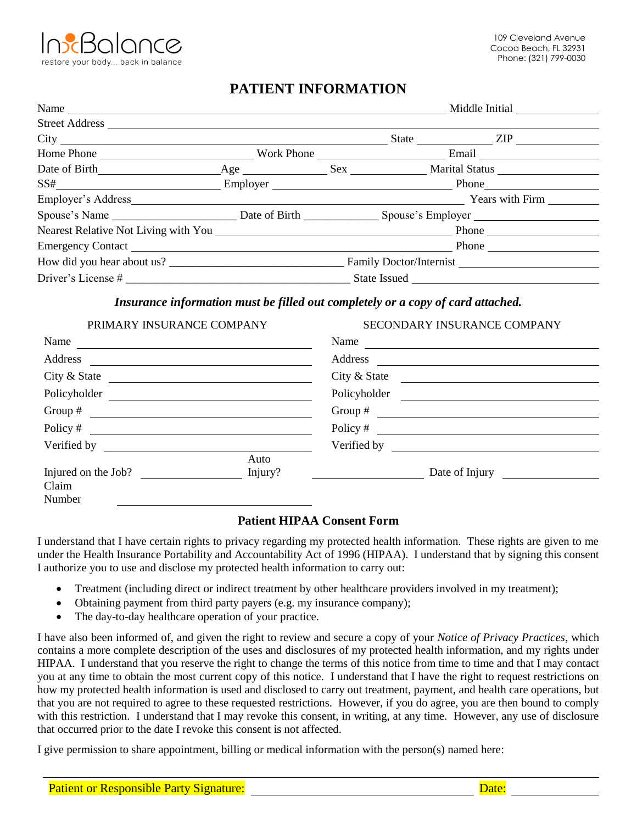

# **PATIENT INFORMATION**

|                | Middle Initial |  |  |                  |
|----------------|----------------|--|--|------------------|
| Street Address |                |  |  |                  |
|                |                |  |  | State <u>ZIP</u> |
|                |                |  |  |                  |
|                |                |  |  |                  |
|                |                |  |  |                  |
|                |                |  |  |                  |
|                |                |  |  |                  |
|                |                |  |  |                  |
|                |                |  |  |                  |
|                |                |  |  |                  |
|                |                |  |  |                  |

# *Insurance information must be filled out completely or a copy of card attached.*

| PRIMARY INSURANCE COMPANY                                 | SECONDARY INSURANCE COMPANY                                                                                    |
|-----------------------------------------------------------|----------------------------------------------------------------------------------------------------------------|
| Name $\frac{ }{ }$                                        | Name                                                                                                           |
|                                                           |                                                                                                                |
| City & State $\qquad \qquad \qquad$                       | City & State                                                                                                   |
|                                                           | Policyholder                                                                                                   |
|                                                           |                                                                                                                |
| Policy # $\qquad \qquad$                                  | Policy $\#$                                                                                                    |
| Verified by $\qquad \qquad \qquad$                        | Verified by Particular Contract Contract of the Contract of the Contract Oriental Contract Oriental Contract O |
| Auto<br>Injured on the Job?<br>Injury?<br>Claim<br>Number | Date of Injury                                                                                                 |

# **Patient HIPAA Consent Form**

I understand that I have certain rights to privacy regarding my protected health information. These rights are given to me under the Health Insurance Portability and Accountability Act of 1996 (HIPAA). I understand that by signing this consent I authorize you to use and disclose my protected health information to carry out:

- Treatment (including direct or indirect treatment by other healthcare providers involved in my treatment);
- Obtaining payment from third party payers (e.g. my insurance company);
- The day-to-day healthcare operation of your practice.

I have also been informed of, and given the right to review and secure a copy of your *Notice of Privacy Practices*, which contains a more complete description of the uses and disclosures of my protected health information, and my rights under HIPAA. I understand that you reserve the right to change the terms of this notice from time to time and that I may contact you at any time to obtain the most current copy of this notice. I understand that I have the right to request restrictions on how my protected health information is used and disclosed to carry out treatment, payment, and health care operations, but that you are not required to agree to these requested restrictions. However, if you do agree, you are then bound to comply with this restriction. I understand that I may revoke this consent, in writing, at any time. However, any use of disclosure that occurred prior to the date I revoke this consent is not affected.

I give permission to share appointment, billing or medical information with the person(s) named here: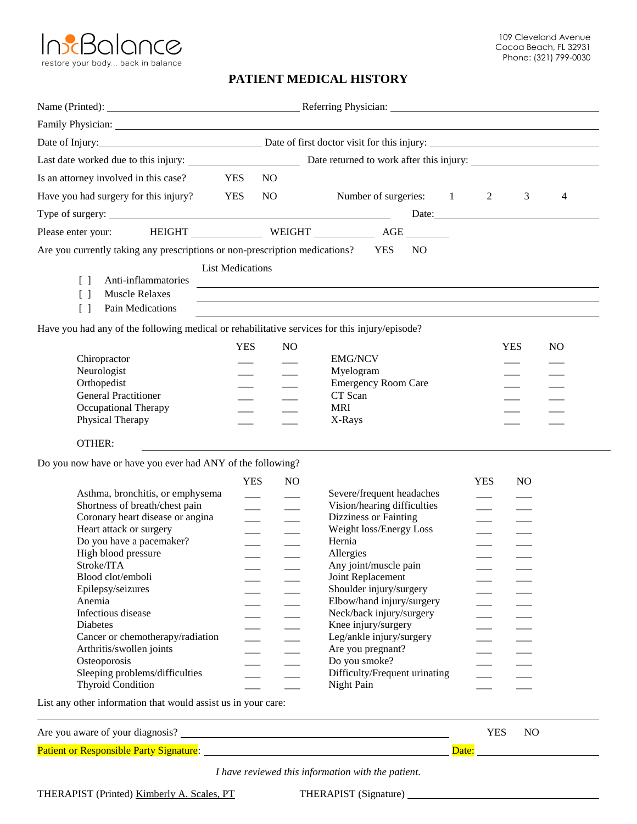

## **PATIENT MEDICAL HISTORY**

| Date of Injury: <u>Date</u> of first doctor visit for this injury:                            |                                           |                |                                                                                                                      |                                           |                |                |
|-----------------------------------------------------------------------------------------------|-------------------------------------------|----------------|----------------------------------------------------------------------------------------------------------------------|-------------------------------------------|----------------|----------------|
|                                                                                               |                                           |                |                                                                                                                      |                                           |                |                |
| Is an attorney involved in this case?                                                         | YES                                       | NO.            |                                                                                                                      |                                           |                |                |
| <b>YES</b><br>Have you had surgery for this injury?                                           |                                           | NO             | Number of surgeries: 1 2                                                                                             |                                           | $\mathbf{3}$   | $\overline{4}$ |
|                                                                                               |                                           |                |                                                                                                                      |                                           |                |                |
|                                                                                               |                                           |                |                                                                                                                      |                                           |                | Date:          |
| Please enter your: HEIGHT WEIGHT WEIGHT AGE                                                   |                                           |                |                                                                                                                      |                                           |                |                |
| Are you currently taking any prescriptions or non-prescription medications? YES               |                                           |                | <b>NO</b>                                                                                                            |                                           |                |                |
|                                                                                               | <b>List Medications</b>                   |                |                                                                                                                      |                                           |                |                |
| Anti-inflammatories<br>$\Box$                                                                 |                                           |                | <u> 1989 - Johann Stein, marwolaethau a bhann an t-Amhain an t-Amhain an t-Amhain an t-Amhain an t-Amhain an t-A</u> |                                           |                |                |
| $\begin{bmatrix} \end{bmatrix}$<br><b>Muscle Relaxes</b>                                      |                                           |                | and the control of the control of the control of the control of the control of the control of the control of the     |                                           |                |                |
| Pain Medications<br>$\begin{bmatrix} \end{bmatrix}$                                           |                                           |                |                                                                                                                      |                                           |                |                |
| Have you had any of the following medical or rehabilitative services for this injury/episode? |                                           |                |                                                                                                                      |                                           |                |                |
|                                                                                               | <b>YES</b>                                | N <sub>O</sub> |                                                                                                                      |                                           | <b>YES</b>     | N <sub>O</sub> |
| Chiropractor                                                                                  |                                           |                | <b>EMG/NCV</b>                                                                                                       |                                           |                |                |
| Neurologist                                                                                   |                                           |                | Myelogram                                                                                                            |                                           |                |                |
| Orthopedist                                                                                   | $\frac{1}{1}$                             |                | <b>Emergency Room Care</b>                                                                                           |                                           | $\frac{1}{2}$  |                |
| <b>General Practitioner</b>                                                                   | $\frac{1}{1}$                             |                | CT Scan                                                                                                              |                                           | $\frac{1}{2}$  |                |
| <b>Occupational Therapy</b>                                                                   |                                           |                | <b>MRI</b>                                                                                                           |                                           |                |                |
| Physical Therapy                                                                              |                                           |                | X-Rays                                                                                                               |                                           |                |                |
| OTHER:                                                                                        |                                           |                |                                                                                                                      |                                           |                |                |
| Do you now have or have you ever had ANY of the following?                                    |                                           |                |                                                                                                                      |                                           |                |                |
|                                                                                               | <b>YES</b>                                | N <sub>O</sub> |                                                                                                                      | <b>YES</b>                                | N <sub>O</sub> |                |
| Asthma, bronchitis, or emphysema                                                              |                                           |                | Severe/frequent headaches                                                                                            |                                           |                |                |
| Shortness of breath/chest pain                                                                | $\frac{1}{1}$<br>$\overline{\phantom{a}}$ | $\frac{1}{1}$  | Vision/hearing difficulties                                                                                          | $\frac{1}{1}$<br>$\overline{\phantom{a}}$ |                |                |
| Coronary heart disease or angina                                                              | $\frac{1}{1}$                             |                | Dizziness or Fainting                                                                                                |                                           |                |                |
| Heart attack or surgery                                                                       | $\frac{1}{1}$                             |                | Weight loss/Energy Loss                                                                                              | $\frac{1}{1}$                             |                |                |
| Do you have a pacemaker?                                                                      |                                           |                | Hernia                                                                                                               |                                           |                |                |
| High blood pressure                                                                           |                                           |                | Allergies                                                                                                            |                                           |                |                |
| Stroke/ITA                                                                                    |                                           |                | Any joint/muscle pain                                                                                                |                                           |                |                |
| Blood clot/emboli                                                                             |                                           |                | Joint Replacement                                                                                                    |                                           |                |                |
| Epilepsy/seizures                                                                             |                                           |                | Shoulder injury/surgery                                                                                              |                                           |                |                |
| Anemia                                                                                        |                                           |                | Elbow/hand injury/surgery                                                                                            |                                           |                |                |
| Infectious disease                                                                            |                                           |                | Neck/back injury/surgery                                                                                             |                                           |                |                |
| <b>Diabetes</b>                                                                               |                                           |                | Knee injury/surgery                                                                                                  |                                           |                |                |
| Cancer or chemotherapy/radiation<br>Arthritis/swollen joints                                  |                                           |                | Leg/ankle injury/surgery<br>Are you pregnant?                                                                        |                                           |                |                |
| Osteoporosis                                                                                  |                                           |                | Do you smoke?                                                                                                        |                                           |                |                |
| Sleeping problems/difficulties                                                                |                                           |                | Difficulty/Frequent urinating                                                                                        |                                           |                |                |
| <b>Thyroid Condition</b>                                                                      |                                           |                | Night Pain                                                                                                           |                                           |                |                |
| they information that would cooker in your cores                                              |                                           |                |                                                                                                                      |                                           |                |                |

List any other information that would assist us in your care:

| Are you aware of your diagnosis?               |  | NC |  |
|------------------------------------------------|--|----|--|
| <b>Patient or Responsible Party Signature:</b> |  |    |  |

*I have reviewed this information with the patient.*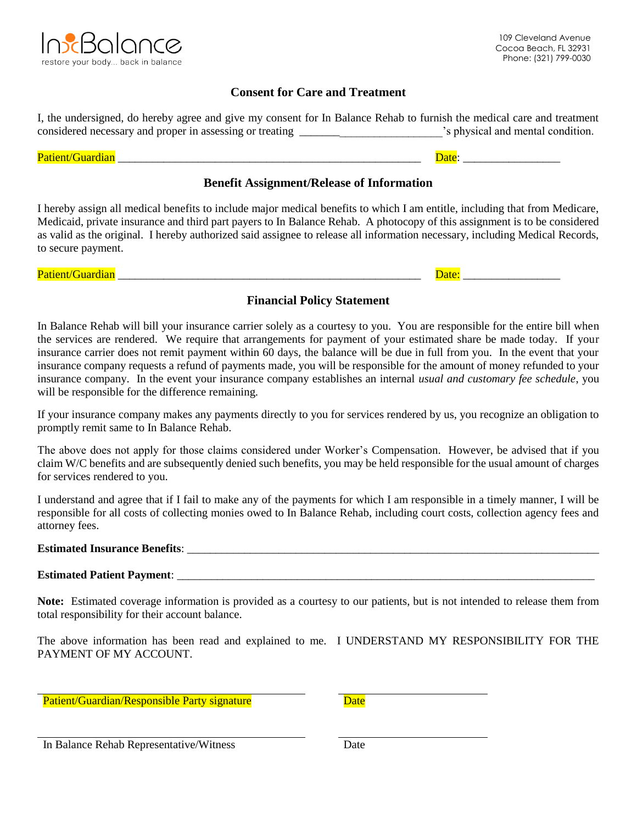

# **Consent for Care and Treatment**

| I, the undersigned, do hereby agree and give my consent for In Balance Rehab to furnish the medical care and treatment |                                   |
|------------------------------------------------------------------------------------------------------------------------|-----------------------------------|
| considered necessary and proper in assessing or treating                                                               | 's physical and mental condition. |
|                                                                                                                        |                                   |

#### Patient/Guardian \_\_\_\_\_\_\_\_\_\_\_\_\_\_\_\_\_\_\_\_\_\_\_\_\_\_\_\_\_\_\_\_\_\_\_\_\_\_\_\_\_\_\_\_\_\_\_\_\_\_\_\_\_ Date: \_\_\_\_\_\_\_\_\_\_\_\_\_\_\_\_\_

## **Benefit Assignment/Release of Information**

I hereby assign all medical benefits to include major medical benefits to which I am entitle, including that from Medicare, Medicaid, private insurance and third part payers to In Balance Rehab. A photocopy of this assignment is to be considered as valid as the original. I hereby authorized said assignee to release all information necessary, including Medical Records, to secure payment.

Patient/Guardian \_\_\_\_\_\_\_\_\_\_\_\_\_\_\_\_\_\_\_\_\_\_\_\_\_\_\_\_\_\_\_\_\_\_\_\_\_\_\_\_\_\_\_\_\_\_\_\_\_\_\_\_\_ Date: \_\_\_\_\_\_\_\_\_\_\_\_\_\_\_\_\_

# **Financial Policy Statement**

In Balance Rehab will bill your insurance carrier solely as a courtesy to you. You are responsible for the entire bill when the services are rendered. We require that arrangements for payment of your estimated share be made today. If your insurance carrier does not remit payment within 60 days, the balance will be due in full from you. In the event that your insurance company requests a refund of payments made, you will be responsible for the amount of money refunded to your insurance company. In the event your insurance company establishes an internal *usual and customary fee schedule*, you will be responsible for the difference remaining.

If your insurance company makes any payments directly to you for services rendered by us, you recognize an obligation to promptly remit same to In Balance Rehab.

The above does not apply for those claims considered under Worker's Compensation. However, be advised that if you claim W/C benefits and are subsequently denied such benefits, you may be held responsible for the usual amount of charges for services rendered to you.

I understand and agree that if I fail to make any of the payments for which I am responsible in a timely manner, I will be responsible for all costs of collecting monies owed to In Balance Rehab, including court costs, collection agency fees and attorney fees.

**Estimated Insurance Benefits**: \_\_\_\_\_\_\_\_\_\_\_\_\_\_\_\_\_\_\_\_\_\_\_\_\_\_\_\_\_\_\_\_\_\_\_\_\_\_\_\_\_\_\_\_\_\_\_\_\_\_\_\_\_\_\_\_\_\_\_\_\_\_\_\_\_\_\_\_\_\_\_\_

# **Estimated Patient Payment**: \_\_\_\_\_\_\_\_\_\_\_\_\_\_\_\_\_\_\_\_\_\_\_\_\_\_\_\_\_\_\_\_\_\_\_\_\_\_\_\_\_\_\_\_\_\_\_\_\_\_\_\_\_\_\_\_\_\_\_\_\_\_\_\_\_\_\_\_\_\_\_\_\_

**Note:** Estimated coverage information is provided as a courtesy to our patients, but is not intended to release them from total responsibility for their account balance.

The above information has been read and explained to me. I UNDERSTAND MY RESPONSIBILITY FOR THE PAYMENT OF MY ACCOUNT.

Patient/Guardian/Responsible Party signature

In Balance Rehab Representative/Witness Date